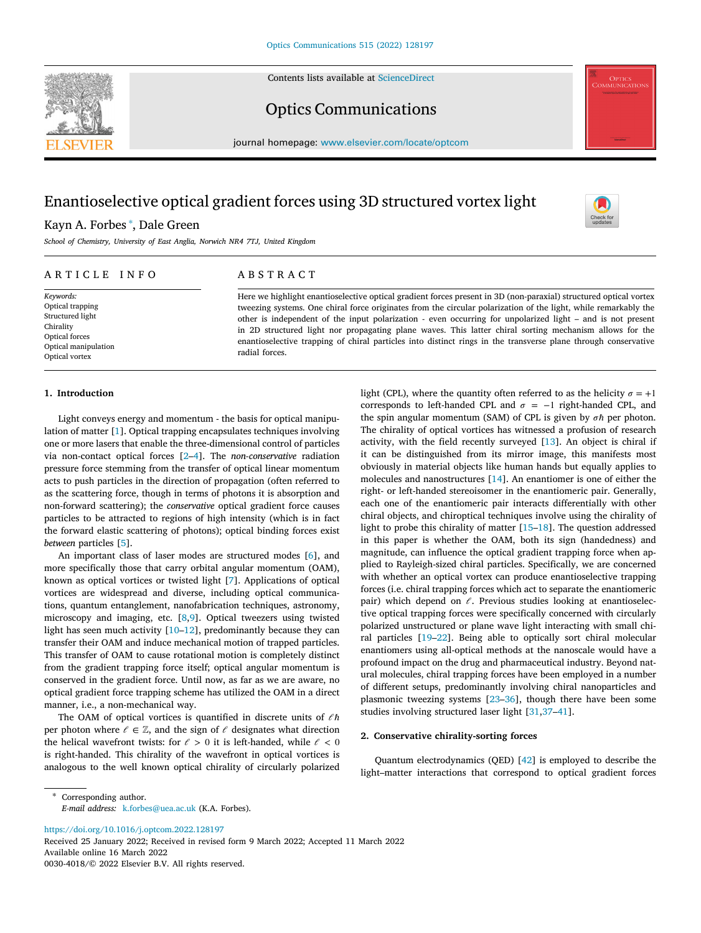Contents lists available at [ScienceDirect](http://www.elsevier.com/locate/optcom)





Optics Communications

journal homepage: [www.elsevier.com/locate/optcom](http://www.elsevier.com/locate/optcom)

# Enantioselective optical gradient forces using 3D structured vortex light

## Kayn A. Forbes [∗](#page-0-0) , Dale Green

*School of Chemistry, University of East Anglia, Norwich NR4 7TJ, United Kingdom*

| ARTICLE INFO                           | A B S T R A C T                                                                                                                                                                                                                                                                                                                                           |
|----------------------------------------|-----------------------------------------------------------------------------------------------------------------------------------------------------------------------------------------------------------------------------------------------------------------------------------------------------------------------------------------------------------|
| Keywords:                              | Here we highlight enantioselective optical gradient forces present in 3D (non-paraxial) structured optical vortex                                                                                                                                                                                                                                         |
| Optical trapping                       | tweezing systems. One chiral force originates from the circular polarization of the light, while remarkably the                                                                                                                                                                                                                                           |
| Structured light                       | other is independent of the input polarization - even occurring for unpolarized light – and is not present<br>in 2D structured light nor propagating plane waves. This latter chiral sorting mechanism allows for the<br>enantioselective trapping of chiral particles into distinct rings in the transverse plane through conservative<br>radial forces. |
| Chirality                              |                                                                                                                                                                                                                                                                                                                                                           |
| Optical forces                         |                                                                                                                                                                                                                                                                                                                                                           |
| Optical manipulation<br>Optical vortex |                                                                                                                                                                                                                                                                                                                                                           |

## **1. Introduction**

Light conveys energy and momentum - the basis for optical manipulation of matter [[1\]](#page-3-0). Optical trapping encapsulates techniques involving one or more lasers that enable the three-dimensional control of particles via non-contact optical forces [[2](#page-3-1)[–4\]](#page-3-2). The *non-conservative* radiation pressure force stemming from the transfer of optical linear momentum acts to push particles in the direction of propagation (often referred to as the scattering force, though in terms of photons it is absorption and non-forward scattering); the *conservative* optical gradient force causes particles to be attracted to regions of high intensity (which is in fact the forward elastic scattering of photons); optical binding forces exist *between* particles [[5](#page-3-3)].

An important class of laser modes are structured modes [[6](#page-3-4)], and more specifically those that carry orbital angular momentum (OAM), known as optical vortices or twisted light [\[7\]](#page-3-5). Applications of optical vortices are widespread and diverse, including optical communications, quantum entanglement, nanofabrication techniques, astronomy, microscopy and imaging, etc. [\[8,](#page-3-6)[9\]](#page-3-7). Optical tweezers using twisted light has seen much activity  $[10-12]$  $[10-12]$ , predominantly because they can transfer their OAM and induce mechanical motion of trapped particles. This transfer of OAM to cause rotational motion is completely distinct from the gradient trapping force itself; optical angular momentum is conserved in the gradient force. Until now, as far as we are aware, no optical gradient force trapping scheme has utilized the OAM in a direct manner, i.e., a non-mechanical way.

The OAM of optical vortices is quantified in discrete units of  $\ell \hbar$ per photon where  $\ell \in \mathbb{Z}$ , and the sign of  $\ell$  designates what direction the helical wavefront twists: for  $\ell > 0$  it is left-handed, while  $\ell < 0$ is right-handed. This chirality of the wavefront in optical vortices is analogous to the well known optical chirality of circularly polarized

light (CPL), where the quantity often referred to as the helicity  $\sigma = +1$ corresponds to left-handed CPL and  $\sigma = -1$  right-handed CPL, and the spin angular momentum (SAM) of CPL is given by *σh* per photon. The chirality of optical vortices has witnessed a profusion of research activity, with the field recently surveyed [[13\]](#page-3-10). An object is chiral if it can be distinguished from its mirror image, this manifests most obviously in material objects like human hands but equally applies to molecules and nanostructures [[14\]](#page-3-11). An enantiomer is one of either the right- or left-handed stereoisomer in the enantiomeric pair. Generally, each one of the enantiomeric pair interacts differentially with other chiral objects, and chiroptical techniques involve using the chirality of light to probe this chirality of matter [\[15](#page-3-12)[–18](#page-3-13)]. The question addressed in this paper is whether the OAM, both its sign (handedness) and magnitude, can influence the optical gradient trapping force when applied to Rayleigh-sized chiral particles. Specifically, we are concerned with whether an optical vortex can produce enantioselective trapping forces (i.e. chiral trapping forces which act to separate the enantiomeric pair) which depend on  $\ell$ . Previous studies looking at enantioselective optical trapping forces were specifically concerned with circularly polarized unstructured or plane wave light interacting with small chiral particles [\[19](#page-3-14)[–22](#page-3-15)]. Being able to optically sort chiral molecular enantiomers using all-optical methods at the nanoscale would have a profound impact on the drug and pharmaceutical industry. Beyond natural molecules, chiral trapping forces have been employed in a number of different setups, predominantly involving chiral nanoparticles and plasmonic tweezing systems [[23–](#page-3-16)[36\]](#page-3-17), though there have been some studies involving structured laser light [[31,](#page-3-18)[37–](#page-3-19)[41\]](#page-3-20).

## **2. Conservative chirality-sorting forces**

Quantum electrodynamics (QED) [\[42](#page-3-21)] is employed to describe the light–matter interactions that correspond to optical gradient forces

<span id="page-0-0"></span>Corresponding author. *E-mail address:* [k.forbes@uea.ac.uk](mailto:k.forbes@uea.ac.uk) (K.A. Forbes).

<https://doi.org/10.1016/j.optcom.2022.128197>

Received 25 January 2022; Received in revised form 9 March 2022; Accepted 11 March 2022 Available online 16 March 2022 0030-4018/© 2022 Elsevier B.V. All rights reserved.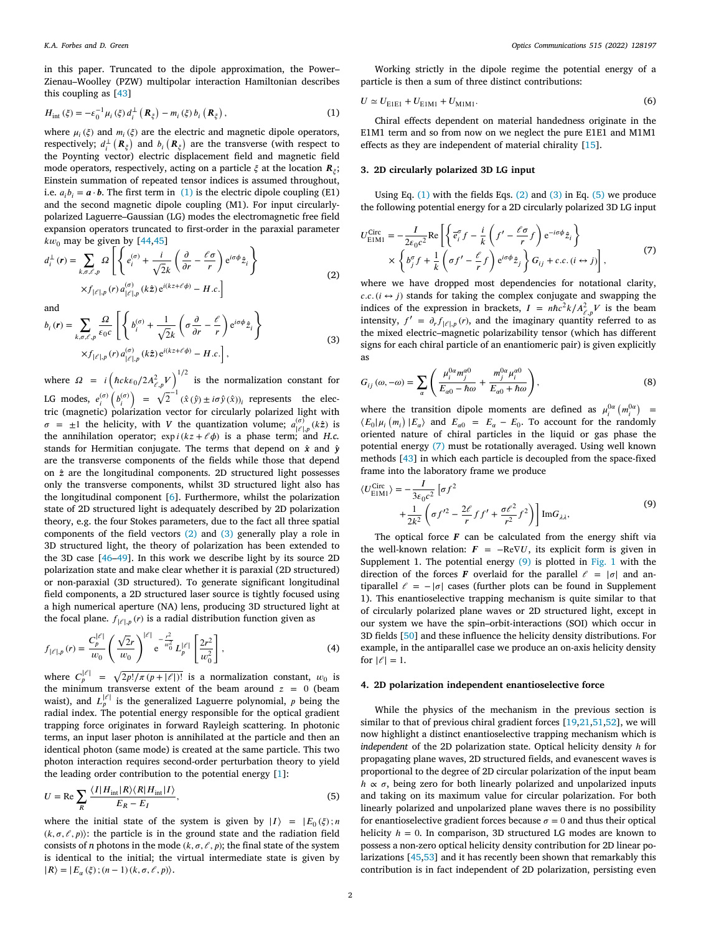in this paper. Truncated to the dipole approximation, the Power– Zienau–Woolley (PZW) multipolar interaction Hamiltonian describes this coupling as [[43\]](#page-3-22)

$$
H_{\rm int}(\xi) = -\varepsilon_0^{-1} \mu_i(\xi) d_i^{\perp}(\mathbf{R}_{\xi}) - m_i(\xi) b_i(\mathbf{R}_{\xi}), \qquad (1)
$$

where  $\mu_i(\xi)$  and  $m_i(\xi)$  are the electric and magnetic dipole operators, respectively;  $d_i^{\perp}$  ( $\mathbf{R}_\xi$ ) and  $b_i$  ( $\mathbf{R}_\xi$ ) are the transverse (with respect to the Poynting vector) electric displacement field and magnetic field mode operators, respectively, acting on a particle  $\xi$  at the location  $\bm{R}_{\xi};$ Einstein summation of repeated tensor indices is assumed throughout, i.e.  $a_i b_i = \mathbf{a} \cdot \mathbf{b}$ . The first term in ([1](#page-1-0)) is the electric dipole coupling (E1) and the second magnetic dipole coupling (M1). For input circularlypolarized Laguerre–Gaussian (LG) modes the electromagnetic free field expansion operators truncated to first-order in the paraxial parameter  $kw_0$  may be given by [\[44](#page-3-23),[45\]](#page-3-24)  $\mathbf{r}$ 

$$
d_i^{\perp}(r) = \sum_{k,\sigma,\ell,p} \Omega \left[ \left\{ e_i^{(\sigma)} + \frac{i}{\sqrt{2}k} \left( \frac{\partial}{\partial r} - \frac{\ell \sigma}{r} \right) e^{i\sigma \phi} \hat{z}_i \right\} \times f_{\ell^2|\cdot p} (r) a_{\ell^2|\cdot p}^{(\sigma)} (k\hat{z}) e^{i(kz + \ell \phi)} - H.c. \right]
$$
(2)

and

and  
\n
$$
b_i(r) = \sum_{k,\sigma,\ell,p} \frac{\Omega}{\epsilon_0 c} \left[ \left\{ b_i^{(\sigma)} + \frac{1}{\sqrt{2}k} \left( \sigma \frac{\partial}{\partial r} - \frac{\ell}{r} \right) e^{i\sigma \phi} \hat{z}_i \right\} \times f_{\lvert \ell \rvert,p}(r) a_{\lvert \ell \rvert,p}^{(\sigma)}(kz) e^{i(kz + \ell \phi)} - H.c. \right],
$$
\n(3)

where  $\Omega = i \left( \hbar c k \epsilon_0 / 2 A_{\ell, p}^2 V \right)^{1/2}$  is the normalization constant for LG modes,  $e_i^{(\sigma)}$  $\bigg(b_i^{(\sigma)}$  $\int = \sqrt{2}^{-1} (\hat{x}(\hat{y}) \pm i\sigma \hat{y}(\hat{x}))_i$  represents the electric (magnetic) polarization vector for circularly polarized light with  $\sigma = \pm 1$  the helicity, with *V* the quantization volume;  $a_{|\ell|, p}^{(\sigma)}(k\hat{z})$  is the annihilation operator;  $\exp i(kz + \ell \phi)$  is a phase term; and *H.c.* stands for Hermitian conjugate. The terms that depend on  $\hat{x}$  and  $\hat{y}$ are the transverse components of the fields while those that depend on *̂* are the longitudinal components. 2D structured light possesses only the transverse components, whilst 3D structured light also has the longitudinal component [[6](#page-3-4)]. Furthermore, whilst the polarization state of 2D structured light is adequately described by 2D polarization theory, e.g. the four Stokes parameters, due to the fact all three spatial components of the field vectors ([2\)](#page-1-1) and ([3](#page-1-2)) generally play a role in 3D structured light, the theory of polarization has been extended to the 3D case [\[46](#page-3-25)[–49](#page-4-0)]. In this work we describe light by its source 2D polarization state and make clear whether it is paraxial (2D structured) or non-paraxial (3D structured). To generate significant longitudinal field components, a 2D structured laser source is tightly focused using a high numerical aperture (NA) lens, producing 3D structured light at the focal plane.  $f_{|\ell|, p}(r)$  is a radial distribution function given as

$$
f_{|\ell|,p}(r) = \frac{C_p^{|\ell|}}{w_0} \left(\frac{\sqrt{2}r}{w_0}\right)^{|\ell|} e^{-\frac{r^2}{w_0^2}} L_p^{|\ell|} \left[\frac{2r^2}{w_0^2}\right],
$$
 (4)

where  $C_p^{|\ell|} = \sqrt{\frac{2p!}{\pi (p+|\ell|)!}}$  is a normalization constant,  $w_0$  is the minimum transverse extent of the beam around  $z = 0$  (beam waist), and  $L_p^{|\ell|}$  is the generalized Laguerre polynomial, p being the radial index. The potential energy responsible for the optical gradient trapping force originates in forward Rayleigh scattering. In photonic terms, an input laser photon is annihilated at the particle and then an identical photon (same mode) is created at the same particle. This two photon interaction requires second-order perturbation theory to yield the leading order contribution to the potential energy [[1\]](#page-3-0):

$$
U = \text{Re} \sum_{R} \frac{\langle I | H_{\text{int}} | R \rangle \langle R | H_{\text{int}} | I \rangle}{E_R - E_I},
$$
\n(5)

where the initial state of the system is given by  $|I\rangle = |E_0(\xi)|$ ; n  $(k, \sigma, \ell, p)$ : the particle is in the ground state and the radiation field consists of *n* photons in the mode  $(k, \sigma, \ell, p)$ ; the final state of the system is identical to the initial; the virtual intermediate state is given by  $|R\rangle = |E_{\alpha}(\xi); (n-1)(k, \sigma, \ell, p)\rangle.$ 

Working strictly in the dipole regime the potential energy of a particle is then a sum of three distinct contributions:

<span id="page-1-6"></span>
$$
U \simeq U_{\text{EIE1}} + U_{\text{EIM1}} + U_{\text{MIM1}}.\tag{6}
$$

<span id="page-1-0"></span>Chiral effects dependent on material handedness originate in the E1M1 term and so from now on we neglect the pure E1E1 and M1M1 effects as they are independent of material chirality [\[15](#page-3-12)].

### **3. 2D circularly polarized 3D LG input**

Using Eq.  $(1)$  $(1)$  $(1)$  with the fields Eqs.  $(2)$  $(2)$  and  $(3)$  in Eq.  $(5)$  we produce the following potential energy for a 2D circularly polarized 3D LG input

<span id="page-1-4"></span>
$$
U_{\text{EIM1}}^{\text{Circ}} = -\frac{I}{2\varepsilon_0 c^2} \text{Re}\left[ \left\{ \overline{e}_i^{\sigma} f - \frac{i}{k} \left( f' - \frac{\ell \sigma}{r} f \right) e^{-i\sigma \phi} \hat{z}_i \right\} \times \left\{ b_j^{\sigma} f + \frac{1}{k} \left( \sigma f' - \frac{\ell}{r} f \right) e^{i\sigma \phi} \hat{z}_j \right\} G_{ij} + c.c. (i \leftrightarrow j) \right],
$$
 (7)

<span id="page-1-1"></span>where we have dropped most dependencies for notational clarity,  $c.c. (i \leftrightarrow j)$  stands for taking the complex conjugate and swapping the indices of the expression in brackets,  $I = n\hbar c^2 k / A_{\ell,p}^2 V$  is the beam intensity,  $f' = \partial_r f_{|\ell|,p}(r)$ , and the imaginary quantity referred to as the mixed electric–magnetic polarizability tensor (which has different signs for each chiral particle of an enantiomeric pair) is given explicitly as

<span id="page-1-2"></span>
$$
G_{ij}(\omega, -\omega) = \sum_{\alpha} \left( \frac{\mu_i^{0\alpha} m_j^{\alpha 0}}{E_{\alpha 0} - \hbar \omega} + \frac{m_j^{0\alpha} \mu_i^{\alpha 0}}{E_{\alpha 0} + \hbar \omega} \right),
$$
 (8)

where the transition dipole moments are defined as  $\mu_i^{0\alpha}$  ( $m_i^{0\alpha}$ ) = ( $E_0 | \mu_i(m_i) | E_\alpha$ ) and  $E_{\alpha 0} = E_\alpha - E_0$ . To account for the randomly oriented nature of chiral particles in the liquid or gas phase the potential energy ([7](#page-1-4)) must be rotationally averaged. Using well known methods [\[43](#page-3-22)] in which each particle is decoupled from the space-fixed frame into the laboratory frame we produce

<span id="page-1-5"></span>
$$
\langle U_{\text{EIM1}}^{\text{Circ}} \rangle = -\frac{I}{3\varepsilon_0 c^2} \left[ \sigma f^2 + \frac{1}{2k^2} \left( \sigma f'^2 - \frac{2\ell}{r} f f' + \frac{\sigma \ell^2}{r^2} f^2 \right) \right] \text{Im} G_{\lambda \lambda}, \tag{9}
$$

The optical force  $F$  can be calculated from the energy shift via the well-known relation:  $F = -\text{Re} \nabla U$ , its explicit form is given in Supplement [1](#page-2-0). The potential energy  $(9)$  $(9)$  $(9)$  is plotted in [Fig.](#page-2-0) 1 with the direction of the forces *F* overlaid for the parallel  $\ell = |\sigma|$  and antiparallel  $\ell = -|\sigma|$  cases (further plots can be found in Supplement 1). This enantioselective trapping mechanism is quite similar to that of circularly polarized plane waves or 2D structured light, except in our system we have the spin–orbit-interactions (SOI) which occur in 3D fields [\[50](#page-4-1)] and these influence the helicity density distributions. For example, in the antiparallel case we produce an on-axis helicity density for  $| \ell | = 1$ .

## **4. 2D polarization independent enantioselective force**

<span id="page-1-3"></span>While the physics of the mechanism in the previous section is similar to that of previous chiral gradient forces [\[19](#page-3-14),[21,](#page-3-26)[51,](#page-4-2)[52\]](#page-4-3), we will now highlight a distinct enantioselective trapping mechanism which is *independent* of the 2D polarization state. Optical helicity density *ℎ* for propagating plane waves, 2D structured fields, and evanescent waves is proportional to the degree of 2D circular polarization of the input beam  $h \propto \sigma$ , being zero for both linearly polarized and unpolarized inputs and taking on its maximum value for circular polarization. For both linearly polarized and unpolarized plane waves there is no possibility for enantioselective gradient forces because  $\sigma = 0$  and thus their optical helicity *ℎ* = 0. In comparison, 3D structured LG modes are known to possess a non-zero optical helicity density contribution for 2D linear polarizations [[45](#page-3-24)[,53](#page-4-4)] and it has recently been shown that remarkably this contribution is in fact independent of 2D polarization, persisting even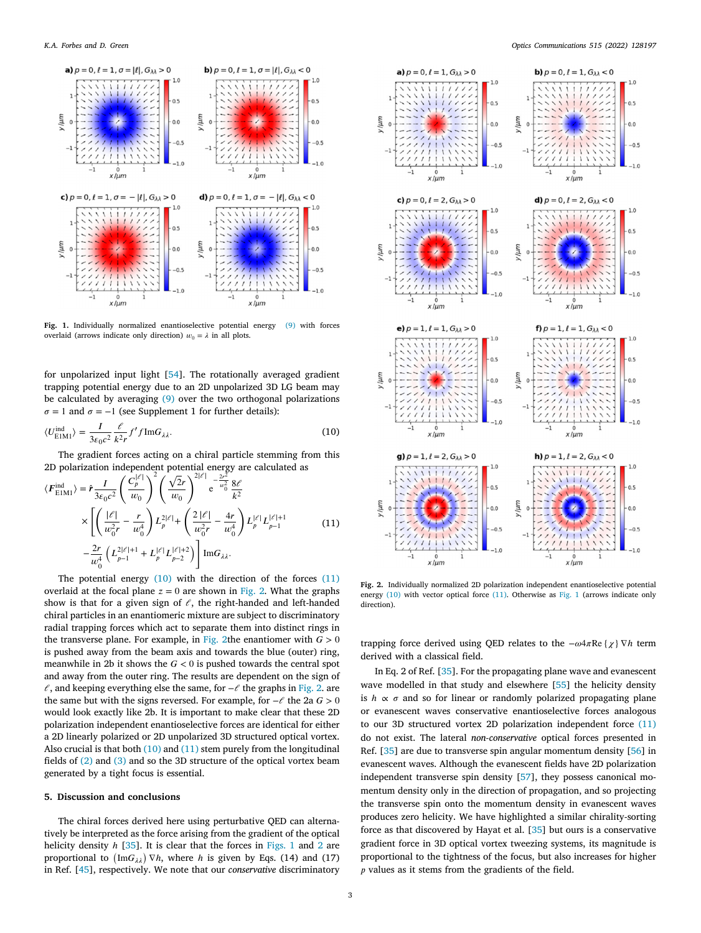

<span id="page-2-0"></span>**Fig. 1.** Individually normalized enantioselective potential energy ([9\)](#page-1-5) with forces overlaid (arrows indicate only direction)  $w_0 = \lambda$  in all plots.

for unpolarized input light [[54\]](#page-4-5). The rotationally averaged gradient trapping potential energy due to an 2D unpolarized 3D LG beam may be calculated by averaging ([9](#page-1-5)) over the two orthogonal polarizations  $\sigma = 1$  and  $\sigma = -1$  (see Supplement 1 for further details):

$$
\langle U_{\text{EIM1}}^{\text{ind}} \rangle = \frac{I}{3\varepsilon_0 c^2} \frac{\ell}{k^2 r} f' f \text{Im} G_{\lambda \lambda}.
$$
 (10)

The gradient forces acting on a chiral particle stemming from this 2D polarization independent potential energy are calculated as<br>  $I = \left(\frac{C_0^{[\ell]}}{\sqrt{2}}\right)^2 \left(\sqrt{2}r\right)^{2|\ell|} - \frac{2r^2}{r^2} 8\ell$ 

$$
\langle F_{\text{EIM1}}^{\text{ind}} \rangle = \hat{r} \frac{I}{3\varepsilon_0 c^2} \left( \frac{C_p^{\text{tr}}}{w_0} \right) \left( \frac{\sqrt{2}r}{w_0} \right)^{\frac{1}{2}} e^{-\frac{z}{w_0^2}} \frac{8\ell}{k^2}
$$
  
 
$$
\times \left[ \left( \frac{|\ell|}{w_0^2 r} - \frac{r}{w_0^4} \right) L_p^{2|\ell|} + \left( \frac{2|\ell|}{w_0^2 r} - \frac{4r}{w_0^4} \right) L_p^{|\ell|} L_{p-1}^{|\ell|+1} - \frac{2r}{w_0^4} \left( L_{p-1}^{2|\ell|+1} + L_p^{|\ell|} L_{p-2}^{|\ell|+2} \right) \right] \text{Im} G_{\lambda\lambda}.
$$
 (11)

The potential energy  $(10)$  $(10)$  with the direction of the forces  $(11)$  $(11)$ overlaid at the focal plane  $z = 0$  are shown in [Fig.](#page-2-3) [2.](#page-2-3) What the graphs show is that for a given sign of  $\ell$ , the right-handed and left-handed chiral particles in an enantiomeric mixture are subject to discriminatory radial trapping forces which act to separate them into distinct rings in the transverse plane. For example, in [Fig.](#page-2-3) [2t](#page-2-3)he enantiomer with  $G > 0$ is pushed away from the beam axis and towards the blue (outer) ring, meanwhile in 2b it shows the  $G < 0$  is pushed towards the central spot and away from the outer ring. The results are dependent on the sign of  $\ell$ , and keeping everything else the same, for  $-\ell$  the graphs in [Fig.](#page-2-3) [2](#page-2-3). are the same but with the signs reversed. For example, for  $-\ell$  the 2a  $G > 0$ would look exactly like 2b. It is important to make clear that these 2D polarization independent enantioselective forces are identical for either a 2D linearly polarized or 2D unpolarized 3D structured optical vortex. Also crucial is that both ([10\)](#page-2-1) and ([11\)](#page-2-2) stem purely from the longitudinal fields of [\(2\)](#page-1-1) and ([3](#page-1-2)) and so the 3D structure of the optical vortex beam generated by a tight focus is essential.

#### **5. Discussion and conclusions**

The chiral forces derived here using perturbative QED can alternatively be interpreted as the force arising from the gradient of the optical helicity density *h* [[35\]](#page-3-27). It is clear that the forces in [Figs.](#page-2-0) [1](#page-2-0) and [2](#page-2-3) are proportional to  $(ImG_{\lambda\lambda}) \nabla h$ , where *h* is given by Eqs. (14) and (17) in Ref. [[45\]](#page-3-24), respectively. We note that our *conservative* discriminatory



<span id="page-2-3"></span><span id="page-2-2"></span><span id="page-2-1"></span>**Fig. 2.** Individually normalized 2D polarization independent enantioselective potential energy  $(10)$  $(10)$  $(10)$  with vector optical force  $(11)$  $(11)$  $(11)$ . Otherwise as [Fig.](#page-2-0) [1](#page-2-0) (arrows indicate only direction).

trapping force derived using QED relates to the  $-\omega 4\pi \text{Re} \{ \chi \} \nabla h$  term derived with a classical field.

In Eq. 2 of Ref. [\[35](#page-3-27)]. For the propagating plane wave and evanescent wave modelled in that study and elsewhere [\[55](#page-4-6)] the helicity density is  $h \propto \sigma$  and so for linear or randomly polarized propagating plane or evanescent waves conservative enantioselective forces analogous to our 3D structured vortex 2D polarization independent force ([11\)](#page-2-2) do not exist. The lateral *non-conservative* optical forces presented in Ref. [\[35](#page-3-27)] are due to transverse spin angular momentum density [[56\]](#page-4-7) in evanescent waves. Although the evanescent fields have 2D polarization independent transverse spin density [\[57](#page-4-8)], they possess canonical momentum density only in the direction of propagation, and so projecting the transverse spin onto the momentum density in evanescent waves produces zero helicity. We have highlighted a similar chirality-sorting force as that discovered by Hayat et al. [[35\]](#page-3-27) but ours is a conservative gradient force in 3D optical vortex tweezing systems, its magnitude is proportional to the tightness of the focus, but also increases for higher  $\nu$  values as it stems from the gradients of the field.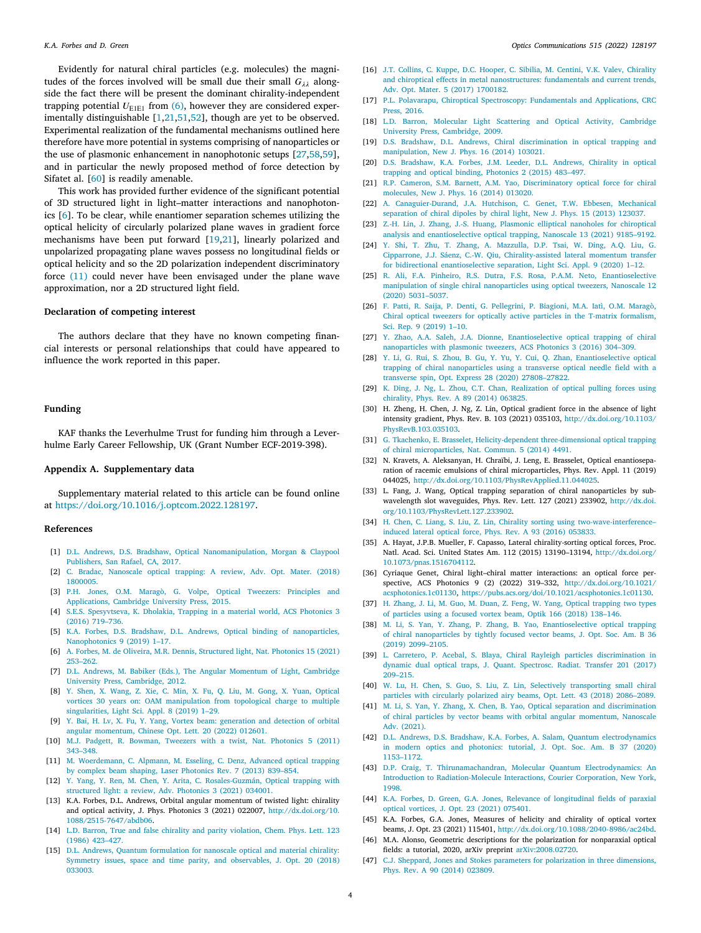Evidently for natural chiral particles (e.g. molecules) the magnitudes of the forces involved will be small due their small  $G_{\lambda\lambda}$  alongside the fact there will be present the dominant chirality-independent trapping potential  $U_{\text{E1E1}}$  from ([6](#page-1-6)), however they are considered experimentally distinguishable [[1](#page-3-0),[21,](#page-3-26)[51,](#page-4-2)[52\]](#page-4-3), though are yet to be observed. Experimental realization of the fundamental mechanisms outlined here therefore have more potential in systems comprising of nanoparticles or the use of plasmonic enhancement in nanophotonic setups [[27,](#page-3-28)[58,](#page-4-9)[59\]](#page-4-10), and in particular the newly proposed method of force detection by Sifatet al. [\[60](#page-4-11)] is readily amenable.

This work has provided further evidence of the significant potential of 3D structured light in light–matter interactions and nanophotonics [[6](#page-3-4)]. To be clear, while enantiomer separation schemes utilizing the optical helicity of circularly polarized plane waves in gradient force mechanisms have been put forward [[19,](#page-3-14)[21\]](#page-3-26), linearly polarized and unpolarized propagating plane waves possess no longitudinal fields or optical helicity and so the 2D polarization independent discriminatory force [\(11](#page-2-2)) could never have been envisaged under the plane wave approximation, nor a 2D structured light field.

## **Declaration of competing interest**

The authors declare that they have no known competing financial interests or personal relationships that could have appeared to influence the work reported in this paper.

#### **Funding**

KAF thanks the Leverhulme Trust for funding him through a Leverhulme Early Career Fellowship, UK (Grant Number ECF-2019-398).

## **Appendix A. Supplementary data**

Supplementary material related to this article can be found online at [https://doi.org/10.1016/j.optcom.2022.128197.](https://doi.org/10.1016/j.optcom.2022.128197)

#### **References**

- <span id="page-3-0"></span>[1] [D.L. Andrews, D.S. Bradshaw, Optical Nanomanipulation, Morgan & Claypool](http://refhub.elsevier.com/S0030-4018(22)00168-7/sb1) [Publishers, San Rafael, CA, 2017.](http://refhub.elsevier.com/S0030-4018(22)00168-7/sb1)
- <span id="page-3-1"></span>[2] [C. Bradac, Nanoscale optical trapping: A review, Adv. Opt. Mater. \(2018\)](http://refhub.elsevier.com/S0030-4018(22)00168-7/sb2) [1800005.](http://refhub.elsevier.com/S0030-4018(22)00168-7/sb2)
- [3] [P.H. Jones, O.M. Maragò, G. Volpe, Optical Tweezers: Principles and](http://refhub.elsevier.com/S0030-4018(22)00168-7/sb3) [Applications, Cambridge University Press, 2015.](http://refhub.elsevier.com/S0030-4018(22)00168-7/sb3)
- <span id="page-3-2"></span>[4] [S.E.S. Spesyvtseva, K. Dholakia, Trapping in a material world, ACS Photonics 3](http://refhub.elsevier.com/S0030-4018(22)00168-7/sb4) [\(2016\) 719–736.](http://refhub.elsevier.com/S0030-4018(22)00168-7/sb4)
- <span id="page-3-3"></span>[5] [K.A. Forbes, D.S. Bradshaw, D.L. Andrews, Optical binding of nanoparticles,](http://refhub.elsevier.com/S0030-4018(22)00168-7/sb5) [Nanophotonics 9 \(2019\) 1–17.](http://refhub.elsevier.com/S0030-4018(22)00168-7/sb5)
- <span id="page-3-4"></span>[6] [A. Forbes, M. de Oliveira, M.R. Dennis, Structured light, Nat. Photonics 15 \(2021\)](http://refhub.elsevier.com/S0030-4018(22)00168-7/sb6) [253–262.](http://refhub.elsevier.com/S0030-4018(22)00168-7/sb6)
- <span id="page-3-5"></span>[7] [D.L. Andrews, M. Babiker \(Eds.\), The Angular Momentum of Light, Cambridge](http://refhub.elsevier.com/S0030-4018(22)00168-7/sb7) [University Press, Cambridge, 2012.](http://refhub.elsevier.com/S0030-4018(22)00168-7/sb7)
- <span id="page-3-6"></span>[8] [Y. Shen, X. Wang, Z. Xie, C. Min, X. Fu, Q. Liu, M. Gong, X. Yuan, Optical](http://refhub.elsevier.com/S0030-4018(22)00168-7/sb8) [vortices 30 years on: OAM manipulation from topological charge to multiple](http://refhub.elsevier.com/S0030-4018(22)00168-7/sb8) [singularities, Light Sci. Appl. 8 \(2019\) 1–29.](http://refhub.elsevier.com/S0030-4018(22)00168-7/sb8)
- <span id="page-3-7"></span>[9] [Y. Bai, H. Lv, X. Fu, Y. Yang, Vortex beam: generation and detection of orbital](http://refhub.elsevier.com/S0030-4018(22)00168-7/sb9) [angular momentum, Chinese Opt. Lett. 20 \(2022\) 012601.](http://refhub.elsevier.com/S0030-4018(22)00168-7/sb9)
- <span id="page-3-8"></span>[10] [M.J. Padgett, R. Bowman, Tweezers with a twist, Nat. Photonics 5 \(2011\)](http://refhub.elsevier.com/S0030-4018(22)00168-7/sb10) [343–348.](http://refhub.elsevier.com/S0030-4018(22)00168-7/sb10)
- [11] [M. Woerdemann, C. Alpmann, M. Esseling, C. Denz, Advanced optical trapping](http://refhub.elsevier.com/S0030-4018(22)00168-7/sb11) [by complex beam shaping, Laser Photonics Rev. 7 \(2013\) 839–854.](http://refhub.elsevier.com/S0030-4018(22)00168-7/sb11)
- <span id="page-3-9"></span>[12] [Y. Yang, Y. Ren, M. Chen, Y. Arita, C. Rosales-Guzmán, Optical trapping with](http://refhub.elsevier.com/S0030-4018(22)00168-7/sb12) [structured light: a review, Adv. Photonics 3 \(2021\) 034001.](http://refhub.elsevier.com/S0030-4018(22)00168-7/sb12)
- <span id="page-3-10"></span>[13] K.A. Forbes, D.L. Andrews, Orbital angular momentum of twisted light: chirality and optical activity, J. Phys. Photonics 3 (2021) 022007, [http://dx.doi.org/10.](http://dx.doi.org/10.1088/2515-7647/abdb06) [1088/2515-7647/abdb06.](http://dx.doi.org/10.1088/2515-7647/abdb06)
- <span id="page-3-11"></span>[14] [L.D. Barron, True and false chirality and parity violation, Chem. Phys. Lett. 123](http://refhub.elsevier.com/S0030-4018(22)00168-7/sb14) [\(1986\) 423–427.](http://refhub.elsevier.com/S0030-4018(22)00168-7/sb14)
- <span id="page-3-12"></span>[15] [D.L. Andrews, Quantum formulation for nanoscale optical and material chirality:](http://refhub.elsevier.com/S0030-4018(22)00168-7/sb15) [Symmetry issues, space and time parity, and observables, J. Opt. 20 \(2018\)](http://refhub.elsevier.com/S0030-4018(22)00168-7/sb15) [033003.](http://refhub.elsevier.com/S0030-4018(22)00168-7/sb15)
- [16] [J.T. Collins, C. Kuppe, D.C. Hooper, C. Sibilia, M. Centini, V.K. Valev, Chirality](http://refhub.elsevier.com/S0030-4018(22)00168-7/sb16) [and chiroptical effects in metal nanostructures: fundamentals and current trends,](http://refhub.elsevier.com/S0030-4018(22)00168-7/sb16) [Adv. Opt. Mater. 5 \(2017\) 1700182.](http://refhub.elsevier.com/S0030-4018(22)00168-7/sb16)
- [17] [P.L. Polavarapu, Chiroptical Spectroscopy: Fundamentals and Applications, CRC](http://refhub.elsevier.com/S0030-4018(22)00168-7/sb17) [Press, 2016.](http://refhub.elsevier.com/S0030-4018(22)00168-7/sb17)
- <span id="page-3-13"></span>[18] [L.D. Barron, Molecular Light Scattering and Optical Activity, Cambridge](http://refhub.elsevier.com/S0030-4018(22)00168-7/sb18) [University Press, Cambridge, 2009.](http://refhub.elsevier.com/S0030-4018(22)00168-7/sb18)
- <span id="page-3-14"></span>[19] [D.S. Bradshaw, D.L. Andrews, Chiral discrimination in optical trapping and](http://refhub.elsevier.com/S0030-4018(22)00168-7/sb19) [manipulation, New J. Phys. 16 \(2014\) 103021.](http://refhub.elsevier.com/S0030-4018(22)00168-7/sb19)
- [20] [D.S. Bradshaw, K.A. Forbes, J.M. Leeder, D.L. Andrews, Chirality in optical](http://refhub.elsevier.com/S0030-4018(22)00168-7/sb20) [trapping and optical binding, Photonics 2 \(2015\) 483–497.](http://refhub.elsevier.com/S0030-4018(22)00168-7/sb20)
- <span id="page-3-26"></span>[21] [R.P. Cameron, S.M. Barnett, A.M. Yao, Discriminatory optical force for chiral](http://refhub.elsevier.com/S0030-4018(22)00168-7/sb21) [molecules, New J. Phys. 16 \(2014\) 013020.](http://refhub.elsevier.com/S0030-4018(22)00168-7/sb21)
- <span id="page-3-15"></span>[22] [A. Canaguier-Durand, J.A. Hutchison, C. Genet, T.W. Ebbesen, Mechanical](http://refhub.elsevier.com/S0030-4018(22)00168-7/sb22) [separation of chiral dipoles by chiral light, New J. Phys. 15 \(2013\) 123037.](http://refhub.elsevier.com/S0030-4018(22)00168-7/sb22)
- <span id="page-3-16"></span>[23] [Z.-H. Lin, J. Zhang, J.-S. Huang, Plasmonic elliptical nanoholes for chiroptical](http://refhub.elsevier.com/S0030-4018(22)00168-7/sb23) [analysis and enantioselective optical trapping, Nanoscale 13 \(2021\) 9185–9192.](http://refhub.elsevier.com/S0030-4018(22)00168-7/sb23)
- [24] [Y. Shi, T. Zhu, T. Zhang, A. Mazzulla, D.P. Tsai, W. Ding, A.Q. Liu, G.](http://refhub.elsevier.com/S0030-4018(22)00168-7/sb24) [Cipparrone, J.J. Sáenz, C.-W. Qiu, Chirality-assisted lateral momentum transfer](http://refhub.elsevier.com/S0030-4018(22)00168-7/sb24) [for bidirectional enantioselective separation, Light Sci. Appl. 9 \(2020\) 1–12.](http://refhub.elsevier.com/S0030-4018(22)00168-7/sb24)
- [25] [R. Ali, F.A. Pinheiro, R.S. Dutra, F.S. Rosa, P.A.M. Neto, Enantioselective](http://refhub.elsevier.com/S0030-4018(22)00168-7/sb25) [manipulation of single chiral nanoparticles using optical tweezers, Nanoscale 12](http://refhub.elsevier.com/S0030-4018(22)00168-7/sb25) [\(2020\) 5031–5037.](http://refhub.elsevier.com/S0030-4018(22)00168-7/sb25)
- [26] [F. Patti, R. Saija, P. Denti, G. Pellegrini, P. Biagioni, M.A. Iatì, O.M. Maragò,](http://refhub.elsevier.com/S0030-4018(22)00168-7/sb26) [Chiral optical tweezers for optically active particles in the T-matrix formalism,](http://refhub.elsevier.com/S0030-4018(22)00168-7/sb26) [Sci. Rep. 9 \(2019\) 1–10.](http://refhub.elsevier.com/S0030-4018(22)00168-7/sb26)
- <span id="page-3-28"></span>[27] [Y. Zhao, A.A. Saleh, J.A. Dionne, Enantioselective optical trapping of chiral](http://refhub.elsevier.com/S0030-4018(22)00168-7/sb27) [nanoparticles with plasmonic tweezers, ACS Photonics 3 \(2016\) 304–309.](http://refhub.elsevier.com/S0030-4018(22)00168-7/sb27)
- [28] [Y. Li, G. Rui, S. Zhou, B. Gu, Y. Yu, Y. Cui, Q. Zhan, Enantioselective optical](http://refhub.elsevier.com/S0030-4018(22)00168-7/sb28) [trapping of chiral nanoparticles using a transverse optical needle field with a](http://refhub.elsevier.com/S0030-4018(22)00168-7/sb28) [transverse spin, Opt. Express 28 \(2020\) 27808–27822.](http://refhub.elsevier.com/S0030-4018(22)00168-7/sb28)
- [29] [K. Ding, J. Ng, L. Zhou, C.T. Chan, Realization of optical pulling forces using](http://refhub.elsevier.com/S0030-4018(22)00168-7/sb29) [chirality, Phys. Rev. A 89 \(2014\) 063825.](http://refhub.elsevier.com/S0030-4018(22)00168-7/sb29)
- [30] H. Zheng, H. Chen, J. Ng, Z. Lin, Optical gradient force in the absence of light intensity gradient, Phys. Rev. B. 103 (2021) 035103, [http://dx.doi.org/10.1103/](http://dx.doi.org/10.1103/PhysRevB.103.035103) [PhysRevB.103.035103](http://dx.doi.org/10.1103/PhysRevB.103.035103).
- <span id="page-3-18"></span>[31] [G. Tkachenko, E. Brasselet, Helicity-dependent three-dimensional optical trapping](http://refhub.elsevier.com/S0030-4018(22)00168-7/sb31) [of chiral microparticles, Nat. Commun. 5 \(2014\) 4491.](http://refhub.elsevier.com/S0030-4018(22)00168-7/sb31)
- [32] N. Kravets, A. Aleksanyan, H. Chraïbi, J. Leng, E. Brasselet, Optical enantioseparation of racemic emulsions of chiral microparticles, Phys. Rev. Appl. 11 (2019) 044025, [http://dx.doi.org/10.1103/PhysRevApplied.11.044025.](http://dx.doi.org/10.1103/PhysRevApplied.11.044025)
- [33] L. Fang, J. Wang, Optical trapping separation of chiral nanoparticles by subwavelength slot waveguides, Phys. Rev. Lett. 127 (2021) 233902, [http://dx.doi.](http://dx.doi.org/10.1103/PhysRevLett.127.233902) [org/10.1103/PhysRevLett.127.233902.](http://dx.doi.org/10.1103/PhysRevLett.127.233902)
- [34] [H. Chen, C. Liang, S. Liu, Z. Lin, Chirality sorting using two-wave-interference–](http://refhub.elsevier.com/S0030-4018(22)00168-7/sb34) [induced lateral optical force, Phys. Rev. A 93 \(2016\) 053833.](http://refhub.elsevier.com/S0030-4018(22)00168-7/sb34)
- <span id="page-3-27"></span>[35] A. Hayat, J.P.B. Mueller, F. Capasso, Lateral chirality-sorting optical forces, Proc. Natl. Acad. Sci. United States Am. 112 (2015) 13190–13194, [http://dx.doi.org/](http://dx.doi.org/10.1073/pnas.1516704112) [10.1073/pnas.1516704112.](http://dx.doi.org/10.1073/pnas.1516704112)
- <span id="page-3-17"></span>[36] Cyriaque Genet, Chiral light–chiral matter interactions: an optical force perspective, ACS Photonics 9 (2) (2022) 319–332, [http://dx.doi.org/10.1021/](http://dx.doi.org/10.1021/acsphotonics.1c01130) [acsphotonics.1c01130,](http://dx.doi.org/10.1021/acsphotonics.1c01130) [https://pubs.acs.org/doi/10.1021/acsphotonics.1c01130.](https://pubs.acs.org/doi/10.1021/acsphotonics.1c01130)
- <span id="page-3-19"></span>[37] [H. Zhang, J. Li, M. Guo, M. Duan, Z. Feng, W. Yang, Optical trapping two types](http://refhub.elsevier.com/S0030-4018(22)00168-7/sb37) [of particles using a focused vortex beam, Optik 166 \(2018\) 138–146.](http://refhub.elsevier.com/S0030-4018(22)00168-7/sb37)
- [38] [M. Li, S. Yan, Y. Zhang, P. Zhang, B. Yao, Enantioselective optical trapping](http://refhub.elsevier.com/S0030-4018(22)00168-7/sb38) [of chiral nanoparticles by tightly focused vector beams, J. Opt. Soc. Am. B 36](http://refhub.elsevier.com/S0030-4018(22)00168-7/sb38) [\(2019\) 2099–2105.](http://refhub.elsevier.com/S0030-4018(22)00168-7/sb38)
- [39] [L. Carretero, P. Acebal, S. Blaya, Chiral Rayleigh particles discrimination in](http://refhub.elsevier.com/S0030-4018(22)00168-7/sb39) [dynamic dual optical traps, J. Quant. Spectrosc. Radiat. Transfer 201 \(2017\)](http://refhub.elsevier.com/S0030-4018(22)00168-7/sb39) [209–215.](http://refhub.elsevier.com/S0030-4018(22)00168-7/sb39)
- [40] [W. Lu, H. Chen, S. Guo, S. Liu, Z. Lin, Selectively transporting small chiral](http://refhub.elsevier.com/S0030-4018(22)00168-7/sb40) [particles with circularly polarized airy beams, Opt. Lett. 43 \(2018\) 2086–2089.](http://refhub.elsevier.com/S0030-4018(22)00168-7/sb40)
- <span id="page-3-20"></span>[41] [M. Li, S. Yan, Y. Zhang, X. Chen, B. Yao, Optical separation and discrimination](http://refhub.elsevier.com/S0030-4018(22)00168-7/sb41) [of chiral particles by vector beams with orbital angular momentum, Nanoscale](http://refhub.elsevier.com/S0030-4018(22)00168-7/sb41) [Adv. \(2021\).](http://refhub.elsevier.com/S0030-4018(22)00168-7/sb41)
- <span id="page-3-21"></span>[42] [D.L. Andrews, D.S. Bradshaw, K.A. Forbes, A. Salam, Quantum electrodynamics](http://refhub.elsevier.com/S0030-4018(22)00168-7/sb42) [in modern optics and photonics: tutorial, J. Opt. Soc. Am. B 37 \(2020\)](http://refhub.elsevier.com/S0030-4018(22)00168-7/sb42) [1153–1172.](http://refhub.elsevier.com/S0030-4018(22)00168-7/sb42)
- <span id="page-3-22"></span>[43] [D.P. Craig, T. Thirunamachandran, Molecular Quantum Electrodynamics: An](http://refhub.elsevier.com/S0030-4018(22)00168-7/sb43) [Introduction to Radiation-Molecule Interactions, Courier Corporation, New York,](http://refhub.elsevier.com/S0030-4018(22)00168-7/sb43) [1998.](http://refhub.elsevier.com/S0030-4018(22)00168-7/sb43)
- <span id="page-3-23"></span>[44] [K.A. Forbes, D. Green, G.A. Jones, Relevance of longitudinal fields of paraxial](http://refhub.elsevier.com/S0030-4018(22)00168-7/sb44) [optical vortices, J. Opt. 23 \(2021\) 075401.](http://refhub.elsevier.com/S0030-4018(22)00168-7/sb44)
- <span id="page-3-24"></span>[45] K.A. Forbes, G.A. Jones, Measures of helicity and chirality of optical vortex beams, J. Opt. 23 (2021) 115401, [http://dx.doi.org/10.1088/2040-8986/ac24bd.](http://dx.doi.org/10.1088/2040-8986/ac24bd)
- <span id="page-3-25"></span>[46] M.A. Alonso, Geometric descriptions for the polarization for nonparaxial optical fields: a tutorial, 2020, arXiv preprint [arXiv:2008.02720.](http://arxiv.org/abs/2008.02720)
- [47] [C.J. Sheppard, Jones and Stokes parameters for polarization in three dimensions,](http://refhub.elsevier.com/S0030-4018(22)00168-7/sb47) [Phys. Rev. A 90 \(2014\) 023809.](http://refhub.elsevier.com/S0030-4018(22)00168-7/sb47)